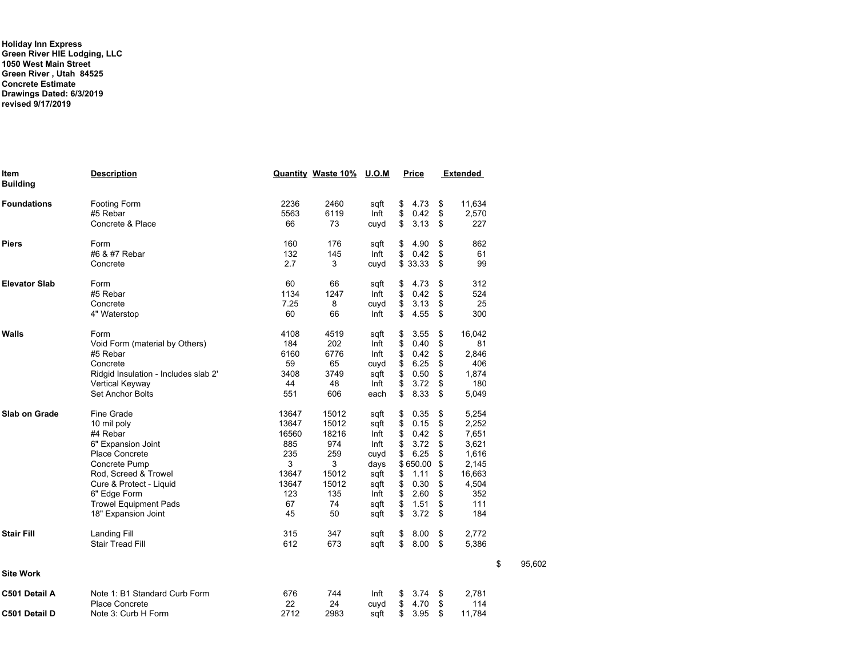**Holiday Inn Express Green River HIE Lodging, LLC 1050 West Main Street Green River , Utah 84525 Concrete Estimate Drawings Dated: 6/3/2019 revised 9/17/2019**

| Item<br><b>Building</b> | <b>Description</b>                   |       | <b>Quantity Waste 10%</b> | <u>U.O.M</u> | <b>Price</b> | <b>Extended</b> |              |
|-------------------------|--------------------------------------|-------|---------------------------|--------------|--------------|-----------------|--------------|
| <b>Foundations</b>      | <b>Footing Form</b>                  | 2236  | 2460                      | sqft         | \$<br>4.73   | \$<br>11,634    |              |
|                         | #5 Rebar                             | 5563  | 6119                      | Inft         | \$<br>0.42   | \$<br>2,570     |              |
|                         | Concrete & Place                     | 66    | 73                        | cuvd         | \$<br>3.13   | \$<br>227       |              |
| <b>Piers</b>            | Form                                 | 160   | 176                       | sqft         | \$<br>4.90   | \$<br>862       |              |
|                         | #6 & #7 Rebar                        | 132   | 145                       | Inft         | \$<br>0.42   | \$<br>61        |              |
|                         | Concrete                             | 2.7   | 3                         | cuyd         | \$33.33      | \$<br>99        |              |
| <b>Elevator Slab</b>    | Form                                 | 60    | 66                        | sqft         | \$<br>4.73   | \$<br>312       |              |
|                         | #5 Rebar                             | 1134  | 1247                      | Inft         | \$<br>0.42   | \$<br>524       |              |
|                         | Concrete                             | 7.25  | 8                         | cuyd         | \$<br>3.13   | \$<br>25        |              |
|                         | 4" Waterstop                         | 60    | 66                        | Inft         | \$<br>4.55   | \$<br>300       |              |
| Walls                   | Form                                 | 4108  | 4519                      | sqft         | \$<br>3.55   | \$<br>16,042    |              |
|                         | Void Form (material by Others)       | 184   | 202                       | Inft         | \$<br>0.40   | \$<br>81        |              |
|                         | #5 Rebar                             | 6160  | 6776                      | Inft         | \$<br>0.42   | \$<br>2,846     |              |
|                         | Concrete                             | 59    | 65                        | cuyd         | \$<br>6.25   | \$<br>406       |              |
|                         | Ridgid Insulation - Includes slab 2' | 3408  | 3749                      | sqft         | \$<br>0.50   | \$<br>1,874     |              |
|                         | Vertical Keyway                      | 44    | 48                        | Inft         | \$<br>3.72   | \$<br>180       |              |
|                         | <b>Set Anchor Bolts</b>              | 551   | 606                       | each         | \$<br>8.33   | \$<br>5,049     |              |
| <b>Slab on Grade</b>    | <b>Fine Grade</b>                    | 13647 | 15012                     | sqft         | \$<br>0.35   | \$<br>5,254     |              |
|                         | 10 mil poly                          | 13647 | 15012                     | sqft         | \$<br>0.15   | \$<br>2,252     |              |
|                         | #4 Rebar                             | 16560 | 18216                     | Inft         | \$<br>0.42   | \$<br>7,651     |              |
|                         | 6" Expansion Joint                   | 885   | 974                       | Inft         | \$<br>3.72   | \$<br>3,621     |              |
|                         | <b>Place Concrete</b>                | 235   | 259                       | cuyd         | \$<br>6.25   | \$<br>1,616     |              |
|                         | Concrete Pump                        | 3     | 3                         | days         | \$650.00     | \$<br>2,145     |              |
|                         | Rod, Screed & Trowel                 | 13647 | 15012                     | sqft         | \$<br>1.11   | \$<br>16,663    |              |
|                         | Cure & Protect - Liquid              | 13647 | 15012                     | sqft         | \$<br>0.30   | \$<br>4,504     |              |
|                         | 6" Edge Form                         | 123   | 135                       | Inft         | \$<br>2.60   | \$<br>352       |              |
|                         | <b>Trowel Equipment Pads</b>         | 67    | 74                        | sqft         | \$<br>1.51   | \$<br>111       |              |
|                         | 18" Expansion Joint                  | 45    | 50                        | sqft         | \$<br>3.72   | \$<br>184       |              |
| <b>Stair Fill</b>       | Landing Fill                         | 315   | 347                       | sqft         | \$<br>8.00   | \$<br>2,772     |              |
|                         | <b>Stair Tread Fill</b>              | 612   | 673                       | sqft         | \$<br>8.00   | \$<br>5,386     |              |
| <b>Site Work</b>        |                                      |       |                           |              |              |                 | \$<br>95,602 |
| C501 Detail A           | Note 1: B1 Standard Curb Form        | 676   | 744                       | Inft         | \$<br>3.74   | \$<br>2,781     |              |
|                         | <b>Place Concrete</b>                | 22    | 24                        | cuyd         | \$<br>4.70   | \$<br>114       |              |
| C501 Detail D           | Note 3: Curb H Form                  | 2712  | 2983                      | sqft         | \$<br>3.95   | \$<br>11,784    |              |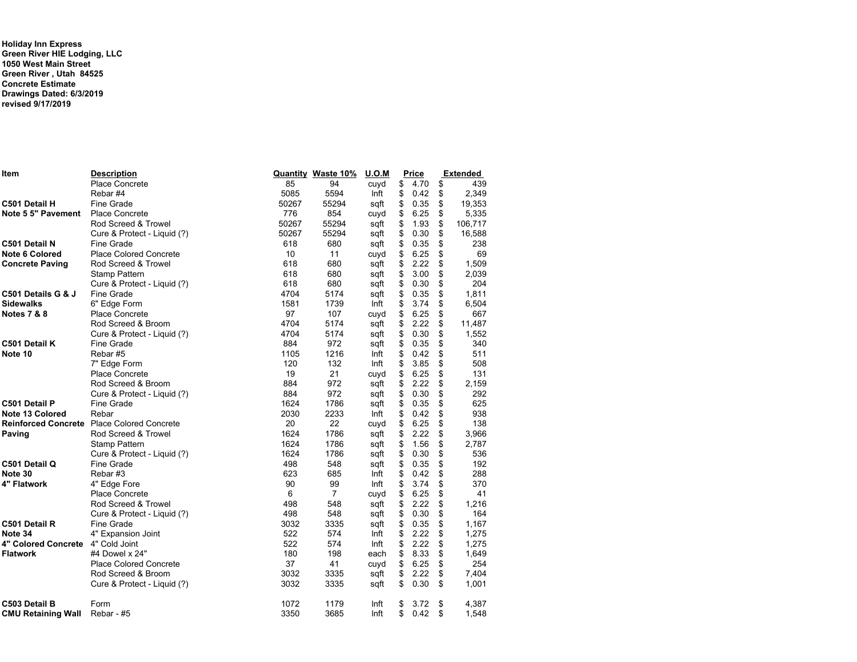**Holiday Inn Express Green River HIE Lodging, LLC 1050 West Main Street Green River , Utah 84525 Concrete Estimate Drawings Dated: 6/3/2019 revised 9/17/2019**

| ltem                              | <b>Description</b>                         |       | <b>Quantity Waste 10%</b> | <u>U.O.M</u> | <b>Price</b> | <b>Extended</b> |         |  |
|-----------------------------------|--------------------------------------------|-------|---------------------------|--------------|--------------|-----------------|---------|--|
|                                   | Place Concrete                             | 85    | 94                        | cuyd         | \$<br>4.70   | \$              | 439     |  |
|                                   | Rebar#4                                    | 5085  | 5594                      | Inft         | \$<br>0.42   | \$              | 2,349   |  |
| C501 Detail H                     | Fine Grade                                 | 50267 | 55294                     | sqft         | \$<br>0.35   | \$              | 19,353  |  |
| Note 5 5" Pavement                | Place Concrete                             | 776   | 854                       | cuyd         | \$<br>6.25   | \$              | 5,335   |  |
|                                   | Rod Screed & Trowel                        | 50267 | 55294                     | sqft         | \$<br>1.93   | \$              | 106,717 |  |
|                                   | Cure & Protect - Liquid (?)                | 50267 | 55294                     | sqft         | \$<br>0.30   | \$              | 16,588  |  |
| C501 Detail N                     | <b>Fine Grade</b>                          | 618   | 680                       | sqft         | \$<br>0.35   | \$              | 238     |  |
| <b>Note 6 Colored</b>             | <b>Place Colored Concrete</b>              | 10    | 11                        | cuvd         | \$<br>6.25   | \$              | 69      |  |
| <b>Concrete Paving</b>            | Rod Screed & Trowel                        | 618   | 680                       | sqft         | \$<br>2.22   | \$              | 1,509   |  |
|                                   | <b>Stamp Pattern</b>                       | 618   | 680                       | sqft         | \$<br>3.00   | \$              | 2,039   |  |
|                                   | Cure & Protect - Liquid (?)                | 618   | 680                       | sqft         | \$<br>0.30   | \$              | 204     |  |
| C501 Details G & J                | Fine Grade                                 | 4704  | 5174                      | sqft         | \$<br>0.35   | \$              | 1,811   |  |
| Sidewalks                         | 6" Edge Form                               | 1581  | 1739                      | Inft         | \$<br>3.74   | \$              | 6,504   |  |
| <b>Notes 7 &amp; 8</b>            | <b>Place Concrete</b>                      | 97    | 107                       | cuyd         | \$<br>6.25   | \$              | 667     |  |
|                                   | Rod Screed & Broom                         | 4704  | 5174                      | sqft         | \$<br>2.22   | \$              | 11,487  |  |
|                                   | Cure & Protect - Liquid (?)                | 4704  | 5174                      | sqft         | \$<br>0.30   | \$              | 1,552   |  |
| C501 Detail K                     | <b>Fine Grade</b>                          | 884   | 972                       | sqft         | \$<br>0.35   | \$              | 340     |  |
| Note 10                           | Rebar#5                                    | 1105  | 1216                      | Inft         | \$<br>0.42   | \$              | 511     |  |
|                                   | 7" Edge Form                               | 120   | 132                       | Inft         | \$<br>3.85   | \$              | 508     |  |
|                                   | Place Concrete                             | 19    | 21                        | cuvd         | \$<br>6.25   | \$              | 131     |  |
|                                   | Rod Screed & Broom                         | 884   | 972                       | sqft         | \$<br>2.22   | \$              | 2,159   |  |
|                                   | Cure & Protect - Liquid (?)                | 884   | 972                       | sqft         | \$<br>0.30   | \$              | 292     |  |
| C501 Detail P                     | Fine Grade                                 | 1624  | 1786                      | sqft         | \$<br>0.35   | \$              | 625     |  |
| Note 13 Colored                   | Rebar                                      | 2030  | 2233                      | Inft         | \$<br>0.42   | \$              | 938     |  |
|                                   | Reinforced Concrete Place Colored Concrete | 20    | 22                        | cuyd         | \$<br>6.25   | \$              | 138     |  |
| Paving                            | Rod Screed & Trowel                        | 1624  | 1786                      | sqft         | \$<br>2.22   | \$              | 3,966   |  |
|                                   | Stamp Pattern                              | 1624  | 1786                      | sqft         | \$<br>1.56   | \$              | 2,787   |  |
|                                   | Cure & Protect - Liquid (?)                | 1624  | 1786                      | sqft         | \$<br>0.30   | \$              | 536     |  |
| C501 Detail Q                     | Fine Grade                                 | 498   | 548                       | sqft         | \$<br>0.35   | \$              | 192     |  |
| Note 30                           | Rebar#3                                    | 623   | 685                       | Inft         | \$<br>0.42   | \$              | 288     |  |
| 4" Flatwork                       | 4" Edge Fore                               | 90    | 99                        | Inft         | \$<br>3.74   | \$              | 370     |  |
|                                   | Place Concrete                             | 6     | $\overline{7}$            | cuyd         | \$<br>6.25   | \$              | 41      |  |
|                                   | Rod Screed & Trowel                        | 498   | 548                       | sqft         | \$<br>2.22   | \$              | 1,216   |  |
|                                   | Cure & Protect - Liquid (?)                | 498   | 548                       | sqft         | \$<br>0.30   | \$              | 164     |  |
| C501 Detail R                     | Fine Grade                                 | 3032  | 3335                      | sqft         | \$<br>0.35   | \$              | 1,167   |  |
| Note 34                           | 4" Expansion Joint                         | 522   | 574                       | Inft         | \$<br>2.22   | \$              | 1,275   |  |
| 4" Colored Concrete 4" Cold Joint |                                            | 522   | 574                       | Inft         | \$<br>2.22   | \$              | 1,275   |  |
| Flatwork                          | #4 Dowel x 24"                             | 180   | 198                       | each         | \$<br>8.33   | \$              | 1,649   |  |
|                                   | <b>Place Colored Concrete</b>              | 37    | 41                        | cuyd         | \$<br>6.25   | \$              | 254     |  |
|                                   | Rod Screed & Broom                         | 3032  | 3335                      | sqft         | \$<br>2.22   | \$              | 7,404   |  |
|                                   | Cure & Protect - Liquid (?)                | 3032  | 3335                      | sqft         | \$<br>0.30   | \$              | 1,001   |  |
| C503 Detail B                     | Form                                       | 1072  | 1179                      | Inft         | \$<br>3.72   | \$              | 4,387   |  |
| CMU Retaining Wall                | Rebar - #5                                 | 3350  | 3685                      | Inft         | \$<br>0.42   | \$              | 1,548   |  |